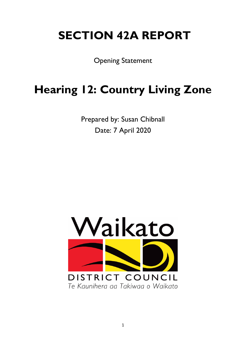# **SECTION 42A REPORT**

Opening Statement

# **Hearing 12: Country Living Zone**

Prepared by: Susan Chibnall Date: 7 April 2020

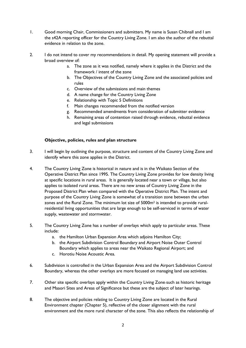- 1. Good morning Chair, Commissioners and submitters. My name is Susan Chibnall and I am the s42A reporting officer for the Country Living Zone. I am also the author of the rebuttal evidence in relation to the zone.
- 2. I do not intend to cover my recommendations in detail. My opening statement will provide a broad overview of:
	- a. The zone as it was notified, namely where it applies in the District and the framework / intent of the zone
	- b. The Objectives of the Country Living Zone and the associated policies and rules
	- c. Overview of the submissions and main themes
	- d. A name change for the Country Living Zone
	- e. Relationship with Topic 5 Definitions
	- f. Main changes recommended from the notified version
	- g. Recommended amendments from consideration of submitter evidence
	- h. Remaining areas of contention raised through evidence, rebuttal evidence and legal submissions

### **Objective, policies, rules and plan structure**

- 3. I will begin by outlining the purpose, structure and content of the Country Living Zone and identify where this zone applies in the District.
- 4. The Country Living Zone is historical in nature and is in the Waikato Section of the Operative District Plan since 1995. The Country Living Zone provides for low density living at specific locations in rural areas. It is generally located near a town or village, but also applies to isolated rural areas. There are no new areas of Country Living Zone in the Proposed District Plan when compared with the Operative District Plan. The intent and purpose of the Country Living Zone is somewhat of a transition zone between the urban zones and the Rural Zone. The minimum lot size of 5000m2 is intended to provide ruralresidential living opportunities that are large enough to be self-serviced in terms of water supply, wastewater and stormwater.
- 5. The Country Living Zone has a number of overlays which apply to particular areas. These include:
	- a. the Hamilton Urban Expansion Area which adjoins Hamilton City;
	- b. the Airport Subdivision Control Boundary and Airport Noise Outer Control Boundary which applies to areas near the Waikato Regional Airport; and
	- c. Horotiu Noise Acoustic Area.
- 6. Subdivision is controlled in the Urban Expansion Area and the Airport Subdivision Control Boundary, whereas the other overlays are more focused on managing land use activities.
- 7. Other site specific overlays apply within the Country Living Zone-such as historic heritage and Maaori Sites and Areas of Significance but these are the subject of later hearings.
- 8. The objective and policies relating to Country Living Zone are located in the Rural Environment chapter (Chapter 5), reflective of the closer alignment with the rural environment and the more rural character of the zone. This also reflects the relationship of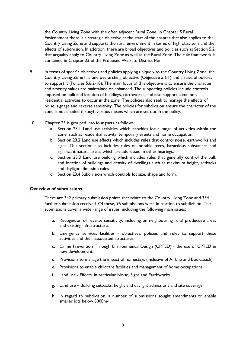the Country Living Zone with the often adjacent Rural Zone. In Chapter 5 Rural Environment there is a strategic objective at the start of the chapter that also applies to the Country Living Zone and supports the rural environment in terms of high class soils and the effects of subdivision. In addition, there are broad objectives and policies such as Section 5.2 that arguably apply to Country Living Zone as well as the Rural Zone. The rule framework is contained in Chapter 23 of the Proposed Waikato District Plan.

- 9. In terms of specific objectives and policies applying uniquely to the Country Living Zone, the Country Living Zone has one overarching objective (Objective 5.6.1) and a suite of policies to support it (Policies 5.6.2-18). The main focus of this objective is to ensure the character and amenity values are maintained or enhanced. The supporting policies include controls imposed on bulk and location of buildings, earthworks, and also support some nonresidential activities to occur in the zone. The policies also seek to manage the effects of noise, signage and reverse sensitivity. The policies for subdivision ensure the character of the zone is not eroded through various means which are set out in the policy.
- 10. Chapter 23 is grouped into four parts as follows:
	- a. Section 23.1 Land use activities which provides for a range of activities within the zone, such as residential activity, temporary events and home occupation.
	- b. Section 23.2 Land use effects which includes rules that control noise, earthworks and signs. This section also includes rules on notable trees, hazardous substances and significant natural areas, which are addressed in other hearings.
	- c. Section 23.3 Land use building which includes rules that generally control the bulk and location of buildings and density of dwellings such as maximum height, setbacks and daylight admission rules.
	- d. Section 23.4 Subdivision which controls lot size, shape and form.

#### **Overview of submissions**

- 11. There are 342 primary submission points that relate to the Country Living Zone and 334 further submission received. Of these, 95 submissions were in relation to subdivision. The submissions cover a wide range of issues, including the following main issues:
	- a. Recognition of reverse sensitivity, including on neighbouring rural productive areas and existing infrastructure.
	- b. Emergency services facilities objectives, policies and rules to support these activities and their associated structures.
	- c. Crime Prevention Through Environmental Design (CPTED) the use of CPTED in new development.
	- d. Provisions to manage the impact of homestays (inclusive of Airbnb and Bookabach).
	- e. Provisions to enable childcare facilities and management of home occupations.
	- f. Land use Effects, in particular Noise, Signs and Earthworks.
	- g. Land use Building setbacks, height and daylight admissions and site coverage.
	- h. In regard to subdivision, a number of submissions sought amendments to enable smaller lots below 5000m2.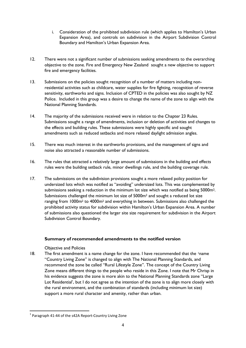- i. Consideration of the prohibited subdivision rule (which applies to Hamilton's Urban Expansion Area), and controls on subdivision in the Airport Subdivision Control Boundary and Hamilton's Urban Expansion Area.
- 12. There were not a significant number of submissions seeking amendments to the overarching objective to the zone. Fire and Emergency New Zealand sought a new objective to support fire and emergency facilities.
- 13. Submissions on the policies sought recognition of a number of matters including nonresidential activities such as childcare, water supplies for fire fighting, recognition of reverse sensitivity, earthworks and signs. Inclusion of CPTED in the policies was also sought by NZ Police. Included in this group was a desire to change the name of the zone to align with the National Planning Standards.
- 14. The majority of the submissions received were in relation to the Chapter 23 Rules. Submissions sought a range of amendments, inclusion or deletion of activities and changes to the effects and building rules. These submissions were highly specific and sought amendments such as reduced setbacks and more relaxed daylight admission angles.
- 15. There was much interest in the earthworks provisions, and the management of signs and noise also attracted a reasonable number of submissions.
- 16. The rules that attracted a relatively large amount of submissions in the building and effects rules were the building setback rule, minor dwellings rule, and the building coverage rule.
- 17. The submissions on the subdivision provisions sought a more relaxed policy position for undersized lots which was notified as "avoiding" undersized lots. This was complemented by submissions seeking a reduction in the minimum lot size which was notified as being 5000m<sup>2</sup>. Submissions challenged the minimum lot size of 5000m<sup>2</sup> and sought a reduced lot size ranging from 1000m2 to 4000m2 and everything in between. Submissions also challenged the prohibited activity status for subdivision within Hamilton's Urban Expansion Area. A number of submissions also questioned the larger site size requirement for subdivision in the Airport Subdivision Control Boundary.

## **Summary of recommended amendments to the notified version**

Objective and Policies

[1](#page-3-0)8. The first amendment is a name change for the zone. I have recommended that the lname "Country Living Zone" is changed to align with The National Planning Standards, and recommend the zone be called "Rural Lifestyle Zone". The concept of the Country Living Zone means different things to the people who reside in this Zone. I note that Mr Chrisp in his evidence suggests the zone is more akin to the National Planning Standards zone "Large Lot Residential', but I do not agree as the intention of the zone is to align more closely with the rural environment, and the combination of standards (including minimum lot size) support a more rural character and amenity, rather than urban.

<span id="page-3-0"></span> $1$  Paragraph 41-44 of the s42A Report-Country Living Zone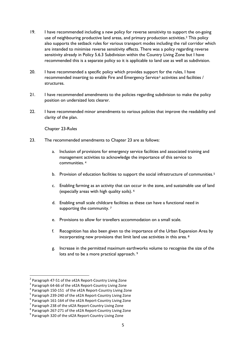- 19. I have recommended including a new policy for reverse sensitivity to support the on-going use of neighbouring productive land areas, and primary production activities.<sup>[2](#page-4-0)</sup> This policy also supports the setback rules for various transport modes including the rail corridor which are intended to minimise reverse sensitivity effects. There was a policy regarding reverse sensitivity already in Policy 5.6.3 Subdivision within the Country Living Zone but I have recommended this is a separate policy so it is applicable to land use as well as subdivision.
- 20. I have recommended a specific policy which provides support for the rules, I have recommended inserting to enable Fire and Emergency Service<sup>[3](#page-4-1)</sup> activities and facilities / structures.
- 21. I have recommended amendments to the policies regarding subdivision to make the policy position on undersized lots clearer.
- 22. I have recommended minor amendments to various policies that improve the readability and clarity of the plan.

Chapter 23-Rules

- 23. The recommended amendments to Chapter 23 are as follows:
	- a. Inclusion of provisions for emergency service facilities and associated training and management activities to acknowledge the importance of this service to communities. [4](#page-4-2)
	- b. Provision of education facilities to support the social infrastructure of communities.<sup>[5](#page-4-3)</sup>
	- c. Enabling farming as an activity that can occur in the zone, and sustainable use of land (especially areas with high quality soils). [6](#page-4-4)
	- d. Enabling small scale childcare facilities as these can have a functional need in supporting the community.<sup>[7](#page-4-5)</sup>
	- e. Provisions to allow for travellers accommodation on a small scale.
	- f. Recognition has also been given to the importance of the Urban Expansion Area by incorporating new provisions that limit land use activities in this area. [8](#page-4-6)
	- g. Increase in the permitted maximum earthworks volume to recognise the size of the lots and to be a more practical approach.<sup>[9](#page-4-7)</sup>

<span id="page-4-1"></span>

<span id="page-4-2"></span>

<span id="page-4-0"></span><sup>&</sup>lt;sup>2</sup> Paragraph 47-51 of the s42A Report-Country Living Zone<br>
<sup>3</sup> Paragraph 64-66 of the s42A Report-Country Living Zone<br>
<sup>4</sup> Paragraph 150-151 of the s42A Report-Country Living Zone<br>
<sup>5</sup> Paragraph 239-240 of the s42A Repor

<span id="page-4-4"></span><span id="page-4-3"></span>

<span id="page-4-5"></span>

<span id="page-4-7"></span><span id="page-4-6"></span>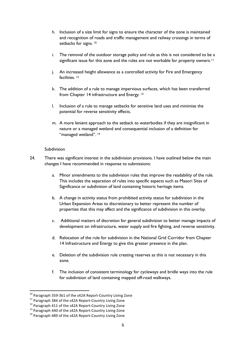- h. Inclusion of a size limit for signs to ensure the character of the zone is maintained and recognition of roads and traffic management and railway crossings in terms of setbacks for signs.<sup>[10](#page-5-0)</sup>
- i. The removal of the outdoor storage policy and rule as this is not considered to be a significant issue for this zone and the rules are not workable for property owners.<sup>[11](#page-5-1)</sup>
- j. An increased height allowance as a controlled activity for Fire and Emergency facilities.<sup>[12](#page-5-2)</sup>
- k. The addition of a rule to manage impervious surfaces, which has been transferred from Chapter 14 infrastructure and Energy. [13](#page-5-3)
- l. Inclusion of a rule to manage setbacks for sensitive land uses and minimise the potential for reverse sensitivity effects.
- m. A more lenient approach to the setback to waterbodies if they are insignificant in nature or a managed wetland and consequential inclusion of a definition for "managed wetland". [14](#page-5-4)

#### Subdivision

- 24. There was significant interest in the subdivision provisions. I have outlined below the main changes I have recommended in response to submissions:
	- a. Minor amendments to the subdivision rules that improve the readability of the rule. This includes the separation of rules into specific aspects such as Maaori Sites of Significance or subdivision of land containing historic heritage items.
	- b. A change in activity status from prohibited activity status for subdivision in the Urban Expansion Areas to discretionary to better represent the number of properties that this may affect and the significance of subdivision in this overlay.
	- c. Additional matters of discretion for general subdivision to better manage impacts of development on infrastructure, water supply and fire fighting, and reverse sensitivity.
	- d. Relocation of the rule for subdivision in the National Grid Corridor from Chapter 14 Infrastructure and Energy to give this greater presence in the plan.
	- e. Deletion of the subdivision rule creating reserves as this is not necessary in this zone.
	- f. The inclusion of consistent terminology for cycleways and bridle ways into the rule for subdivision of land containing mapped off-road walkways.

<span id="page-5-0"></span><sup>&</sup>lt;sup>10</sup> Paragraph 359-361 of the s42A Report-Country Living Zone<br><sup>11</sup> Paragraph 384 of the s42A Report-Country Living Zone<br><sup>12</sup> Paragraph 411 of the s42A Report-Country Living Zone<br><sup>13</sup> Paragraph 440 of the s42A Report-Count

<span id="page-5-1"></span>

<span id="page-5-2"></span>

<span id="page-5-4"></span><span id="page-5-3"></span>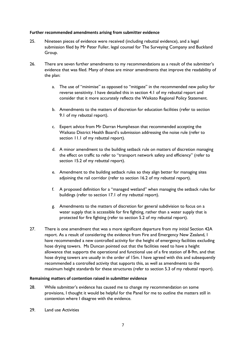#### **Further recommended amendments arising from submitter evidence**

- 25. Nineteen pieces of evidence were received (including rebuttal evidence), and a legal submission filed by Mr Peter Fuller, legal counsel for The Surveying Company and Buckland Group.
- 26. There are seven further amendments to my recommendations as a result of the submitter's evidence that was filed. Many of these are minor amendments that improve the readability of the plan:
	- a. The use of "minimise" as opposed to "mitigate" in the recommended new policy for reverse sensitivity. I have detailed this in section 4.1 of my rebuttal report and consider that it more accurately reflects the Waikato Regional Policy Statement.
	- b. Amendments to the matters of discretion for education facilities (refer to section 9.1 of my rebuttal report).
	- c. Expert advice from Mr Darran Humpheson that recommended accepting the Waikato District Health Board's submission addressing the noise rule (refer to section 11.1 of my rebuttal report).
	- d. A minor amendment to the building setback rule on matters of discretion managing the effect on traffic to refer to "transport network safety and efficiency" (refer to section 15.2 of my rebuttal report).
	- e. Amendment to the building setback rules so they align better for managing sites adjoining the rail corridor (refer to section 16.2 of my rebuttal report).
	- f. A proposed definition for a "managed wetland" when managing the setback rules for buildings (refer to section 17.1 of my rebuttal report).
	- g. Amendments to the matters of discretion for general subdivision to focus on a water supply that is accessible for fire fighting, rather than a water supply that is protected for fire fighting (refer to section 5.2 of my rebuttal report).
- 27. There is one amendment that was a more significant departure from my initial Section 42A report. As a result of considering the evidence from Fire and Emergency New Zealand, I have recommended a new controlled activity for the height of emergency facilities excluding hose drying towers. Ms Duncan pointed out that the facilities need to have a height allowance that supports the operational and functional use of a fire station of 8-9m, and that hose drying towers are usually in the order of 15m. I have agreed with this and subsequently recommended a controlled activity that supports this, as well as amendments to the maximum height standards for these structures (refer to section 5.3 of my rebuttal report).

#### **Remaining matters of contention raised in submitter evidence**

- 28. While submitter's evidence has caused me to change my recommendation on some provisions, I thought it would be helpful for the Panel for me to outline the matters still in contention where I disagree with the evidence.
- 29. Land use Activities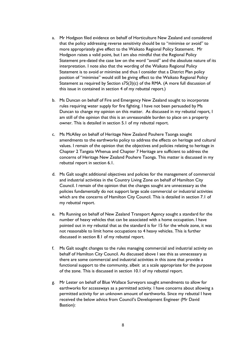- a. Mr Hodgson filed evidence on behalf of Horticulture New Zealand and considered that the policy addressing reverse sensitivity should be to "minimise or avoid" to more appropriately give effect to the Waikato Regional Policy Statement. Mr Hodgson raises a valid point, but I am also mindful that the Regional Policy Statement pre-dated the case law on the word "avoid" and the absolute nature of its interpretation. I note also that the wording of the Waikato Regional Policy Statement is to avoid *or* minimise and thus I consider that a District Plan policy position of "minimise" would still be giving effect to the Waikato Regional Policy Statement as required by Section s75(3)(c) of the RMA. (A more full discussion of this issue in contained in section 4 of my rebuttal report.)
- b. Ms Duncan on behalf of Fire and Emergency New Zealand sought to incorporate rules requiring water supply for fire fighting. I have not been persuaded by Ms Duncan to change my opinion on this matter. As discussed in my rebuttal report, I am still of the opinion that this is an unreasonable burden to place on a property owner. This is detailed in section 5.1 of my rebuttal report.
- c. Ms McAlley on behalf of Heritage New Zealand Pouhere Taonga sought amendments to the earthworks policy to address the effects on heritage and cultural values. I remain of the opinion that the objectives and policies relating to heritage in Chapter 2 Tangata Whenua and Chapter 7 Heritage are sufficient to address the concerns of Heritage New Zealand Pouhere Taonga. This matter is discussed in my rebuttal report in section 6.1.
- d. Ms Galt sought additional objectives and policies for the management of commercial and industrial activities in the Country Living Zone on behalf of Hamilton City Council. I remain of the opinion that the changes sought are unnecessary as the policies fundamentally do not support large scale commercial or industrial activities which are the concerns of Hamilton City Council. This is detailed in section 7.1 of my rebuttal report.
- e. Ms Running on behalf of New Zealand Transport Agency sought a standard for the number of heavy vehicles that can be associated with a home occupation. I have pointed out in my rebuttal that as the standard is for 15 for the whole zone, it was not reasonable to limit home occupations to 4 heavy vehicles. This is further discussed in section 8.1 of my rebuttal report.
- f. Ms Galt sought changes to the rules managing commercial and industrial activity on behalf of Hamilton City Council. As discussed above I see this as unnecessary as there are some commercial and industrial activities in this zone that provide a functional support to the community, albeit at a scale appropriate for the purpose of the zone. This is discussed in section 10.1 of my rebuttal report.
- g. Mr Lester on behalf of Blue Wallace Surveyors sought amendments to allow for earthworks for accessways as a permitted activity. I have concerns about allowing a permitted activity for an unknown amount of earthworks. Since my rebuttal I have received the below advice from Council's Development Engineer (Mr David Bastion):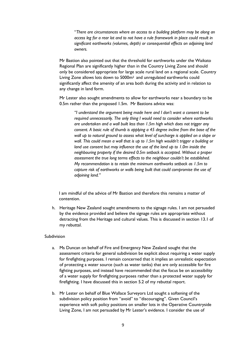"*There are circumstances where an access to a building platform may be along an access leg for a rear lot and to not have a rule framework in place could result in significant earthworks (volumes, depth) or consequential effects on adjoining land owners.* 

Mr Bastion also pointed out that the threshold for earthworks under the Waikato Regional Plan are significantly higher than in the Country Living Zone and should only be considered appropriate for large scale rural land on a regional scale. Country Living Zone allows lots down to 5000m2 and unregulated earthworks could significantly affect the amenity of an area both during the activity and in relation to any change in land form.

Mr Lester also sought amendments to allow for earthworks near a boundary to be 0.5m rather than the proposed 1.5m. Mr Bastions advice was:

*"I understand the argument being made here and I don't want a consent to be required unnecessarily. The only thing I would need to consider where earthworks are undertaken and a wall built less than 1.5m high which does not trigger any consent. A basic rule of thumb is applying a 45 degree incline from the base of the wall up to natural ground to assess what level of surcharge is applied on a slope or wall. This could mean a wall that is up to 1.5m high wouldn't trigger a building or land use consent but may influence the use of the land up to 1.0m inside the neighbouring property if the desired 0.5m setback is accepted. Without a proper assessment the true long terms effects to the neighbour couldn't be established. My recommendation is to retain the minimum earthworks setback as 1.5m to capture risk of earthworks or walls being built that could compromise the use of adjoining land."*

I am mindful of the advice of Mr Bastion and therefore this remains a matter of contention.

h. Heritage New Zealand sought amendments to the signage rules. I am not persuaded by the evidence provided and believe the signage rules are appropriate without detracting from the Heritage and cultural values. This is discussed in section 13.1 of my rebuttal.

#### Subdivision

- a. Ms Duncan on behalf of Fire and Emergency New Zealand sought that the assessment criteria for general subdivision be explicit about requiring a water supply for firefighting purposes. I remain concerned that it implies an unrealistic expectation of protecting a water source (such as water tanks) that are only accessible for fire fighting purposes, and instead have recommended that the focus be on accessibility of a water supply for firefighting purposes rather than a protected water supply for firefighting. I have discussed this in section 5.2 of my rebuttal report.
- b. Mr Lester on behalf of Blue Wallace Surveyors Ltd sought a softening of the subdivision policy position from "avoid" to "discouraging". Given Council's experience with soft policy positions on smaller lots in the Operative Countryside Living Zone, I am not persuaded by Mr Lester's evidence. I consider the use of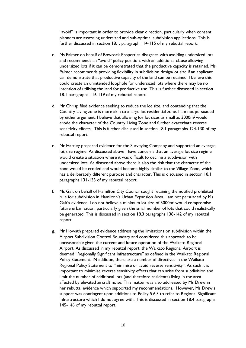"avoid" is important in order to provide clear direction, particularly when consent planners are assessing undersized and sub-optimal subdivision applications. This is further discussed in section 18.1, paragraph 114-115 of my rebuttal report.

- c. Ms Palmer on behalf of Bowrock Properties disagrees with avoiding undersized lots and recommends an "avoid" policy position, with an additional clause allowing undersized lots if it can be demonstrated that the productive capacity is retained. Ms Palmer recommends providing flexibility in subdivision design/lot size if an applicant can demonstrate that productive capacity of the land can be retained. I believe this could create an unintended loophole for undersized lots where there may be no intention of utilising the land for productive use. This is further discussed in section 18.1 paragraphs 116-119 of my rebuttal report.
- d. Mr Chrisp filed evidence seeking to reduce the lot size, and contending that the Country Living zone is more akin to a large lot residential zone. I am not persuaded by either argument. I believe that allowing for lot sizes as small as 3000m2 would erode the character of the Country Living Zone and further exacerbate reverse sensitivity effects. This is further discussed in section 18.1 paragraphs 124-130 of my rebuttal report.
- e. Mr Hartley prepared evidence for the Surveying Company and supported an average lot size regime. As discussed above I have concerns that an average lot size regime would create a situation where it was difficult to decline a subdivision with undersized lots. As discussed above there is also the risk that the character of the zone would be eroded and would become highly similar to the Village Zone, which has a deliberately different purpose and character. This is discussed in section 18.1 paragraphs 131-133 of my rebuttal report.
- f. Ms Galt on behalf of Hamilton City Council sought retaining the notified prohibited rule for subdivision in Hamilton's Urban Expansion Area. I am not persuaded by Ms Galt's evidence. I do not believe a minimum lot size of 5000m2 would compromise future urbanisation, particularly given the small number of lots that could realistically be generated. This is discussed in section 18.3 paragraphs 138-142 of my rebuttal report.
- g. Mr Howath prepared evidence addressing the limitations on subdivision within the Airport Subdivision Control Boundary and considered this approach to be unreasonable given the current and future operation of the Waikato Regional Airport. As discussed in my rebuttal report, the Waikato Regional Airport is deemed "Regionally Significant Infrastructure" as defined in the Waikato Regional Policy Statement. IN addition, there are a number of directives in the Waikato Regional Policy Statement to "minimise or avoid reverse sensitivity". As such it is important to minimise reverse sensitivity effects that can arise from subdivision and limit the number of additional lots (and therefore residents) living in the area affected by elevated aircraft noise. This matter was also addressed by Ms Drew in her rebuttal evidence which supported my recommendations. However, Ms Drew's support was contingent upon additions to Policy 5.6.3 to refer to Regional Significant Infrastructure which I do not agree with. This is discussed in section 18.4 paragraphs 145-146 of my rebuttal report.